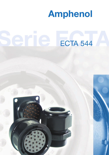

# Serie Ecta 544 ECTA 544

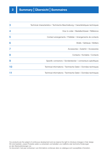| 3  | Technical characteristics / Technische Beschreibung / Caractéristiques techniques |
|----|-----------------------------------------------------------------------------------|
| 4  | How to order / Bestellschlüssel / Référence                                       |
| 5  | Contact arrangements / Polbilder / Arrangements de contacts                       |
| 6  | Shells / Gehäuse / Boîtiers                                                       |
| 7  | Accessories / Zubehör / Accessoires                                               |
| 8  | Contacts / Kontakte / Contacts                                                    |
| 9  | Specific connectors / Sonderstecker / connecteurs spécifiques                     |
| 10 | Technical informations / Technische Daten / Données techniques                    |
|    | Technical informations / Technische Daten / Données techniques                    |
|    |                                                                                   |

Our products are the subject of continuous development and we reserve the right to introduce changes in their design. Wir sind bestrebt, unsere Produkte weiter zu entwickeln und behalten uns maßliche oder techniche Änderungen an den Steckverbindungen vor.

Ce document n'est pas contractuel. Les informations contenues dans ce catalogue sont susceptibles d'évolution.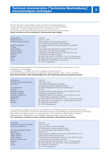# **<sup>3</sup> Technical characteristics | Technische Beschreibung | Caractéristiques techniques**

The 544 serie offer a range of plastic circular connectors for industrial applications (robotics, laboratory test equipment,transportation industry and tool interconnection). 3 shell sizes, 11 contact arrangements from 3 to 27 contacts up to 25 A. This serie permits the use of machined, stamped-rolled, coax and fiber optical contacts. **These connectors can't be connected or disconnected under voltage.**

| locking system:<br>temperature range :<br>mating/unmating operations:<br>assembly operations:<br>IP rating:<br>shells material:<br>contacts material:<br>insulator material:<br>salt spray:<br>vibration:<br>shock: | push-pull<br>$-40^{\circ}$ C to $+125^{\circ}$ C<br>1000 operations (with machined contacts)<br>250 operations (with stamped rolled contacts)<br>25 operations (assembly and disassembly of the insulator)<br>up to $IP$ 67<br>thermoplastic with glass fiber (UL 94-V0, DIN 5510-2-S1)<br>copper alloy with nickel and gold plating.<br>thermoplastic with glass fiber (UL 94-V0, DIN 5510-2-S1)<br>>1000 hours if connector coupled<br>IEC 60512 (IEC 68-2-6) 10-2000 Hz / 10g / 10 cycles per axis<br>IEC 60512 (IEC 68-2-29) 25g / 6ms / 50 bumps per direction |
|---------------------------------------------------------------------------------------------------------------------------------------------------------------------------------------------------------------------|---------------------------------------------------------------------------------------------------------------------------------------------------------------------------------------------------------------------------------------------------------------------------------------------------------------------------------------------------------------------------------------------------------------------------------------------------------------------------------------------------------------------------------------------------------------------|
| norms:                                                                                                                                                                                                              | IEC 48B/560/CD (VDE 0627) for connectors<br>UL 1977 (in preparation)                                                                                                                                                                                                                                                                                                                                                                                                                                                                                                |

Bei der Baureihe 544 handelt es sich um Rundsteckverbinder für den Einsatz in der Industrie, im Labor, im Apparate- und Fahrzeugbau.

3 Gehäusegrößen, 11 Polbilder von 3 bis 27 Kontakten für Ströme bis 25 A. Diese Serie ermöglicht die Verwendung von gedrehten, gestanzt-gerollten, Koax- und LWL- Kontakten.

**Diese Steckverbinder dürfen betriebsmäßig nicht unter Spannung gesteckt und getrennt werden.**

| Verriegelung:                  | Push-Pull                                                     |
|--------------------------------|---------------------------------------------------------------|
| Zulässige Umgebungstemperatur: | $-40^{\circ}$ C bis $+125^{\circ}$ C                          |
| Steckzyklen:                   | 1000 Zyklen (mit gedrehten Kontakten)                         |
|                                | 250 Zyklen (mit gestanzt-gerollten Kontakte)                  |
| Ein-Ausbauzyklen:              | 25 Zyklen (Montage/Demontage des Isolierkörpers)              |
| Schutzart:                     | bis $IP$ 67                                                   |
| Werkstoff Gehäuse:             | Glasfaserverstärktes Thermoplast (UL 94-V0, DIN 5510-2-S1)    |
| Werkstoff Kontakte:            | Kupferlegierung vergoldet auf Nickel                          |
| Werkstoff Isolierkörper:       | Glasfaserverstärktes Thermoplast (UL 94-V0, DIN 5510-2-S1)    |
| Salzsprühtest:                 | > 1000 Stunden in gestecktem Zustand                          |
| Vibrationen:                   | IEC 60512 (IEC 68-2-6) 10-2000 Hz / 10g / 10 Zyklen pro Achse |
| Shocks:                        | IEC 60512 (IEC 68-2-29) 25g / 6ms / 50 Schocks pro Richtung   |
| Normen:                        | IEC 48B/560/CD (VDE 0627)                                     |
|                                | UL 1977 (in Bearbeitung)                                      |
|                                |                                                               |

Les connecteurs circulaires de la série 544 ont été élaborés pour différents secteurs d'activités tels que l'industrie, la robotique, les laboratoires, les transports ainsi que tous les types d'appareillages pouvant faire appel à la connectique. Elle se décline en 3 tailles de boîtier, 11 arrangements de 3 à 27 contacts pour des intensités jusqu'à 25 A. Cette série permet l'utilisation de contacts décolletés, découpés-roulés, coax ou fibre optique. **Ces connecteurs ne doivent en aucun cas être connectés ou déconnectés sous tension.** 

| verrouillage:<br>température ambiante admissible:<br>cycles d'accouplement : | push-pull<br>$-40^{\circ}$ C à $+125^{\circ}$ C<br>1000 cycles (avec contacts décolletés) |
|------------------------------------------------------------------------------|-------------------------------------------------------------------------------------------|
|                                                                              | 250 cycles (avec contacts découpés roulés)                                                |
| cycle de montage/démontage :                                                 | 25 cycles (montage et démontage de l'isolant)                                             |
| étanchéité :                                                                 | jusqu'à IP 67                                                                             |
| matière boîtiers:                                                            | thermoplastique chargé fibre de verre (UL 94-V0, DIN 5510-2-S1)                           |
| matière contacts :                                                           | alliage cuivreux avec dorure sur nickel                                                   |
| matière isolants :                                                           | thermoplastique chargé fibre de verre (UL 94-V0, DIN 5510-2-S1)                           |
| tenue au brouillard salin:                                                   | > 1000 heures pour connecteur accouplé                                                    |
| vibrations:                                                                  | IEC 60512 (IEC 68-2-6) 10-2000 Hz / 10g / 10 cycles par axe                               |
| chocs:                                                                       | IEC 60512 (IEC 68-2-29) 25g / 6ms / 50 chocs par direction                                |
| normes:                                                                      | IEC 48B/560/CD (VDE 0627)                                                                 |
|                                                                              | UL 1977 (en préparation)                                                                  |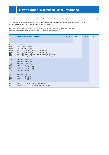To order a connector you need the Part-Number of the connector (follow table below) and of the contacts (given in table on page 7).

Zum Bestellen eines Steckverbinders, benötigen Sie die Artikelnummer des Steckergehäuses (siehe Tabelle unten) und die Artikelnummer der Kontakte (siehe Tabellen auf Seite 7).

Pour votre commande, il vous faut déterminer la référence du connecteur (voir tableau ci-dessous) et la référence des contacts (directement donnée dans les tableaux page 7).

|                                                                                        | serie / Baureihe / série                                                                                                                                                                                                                                                                                    | 5440 | <b>MDA</b> | 103 | F |
|----------------------------------------------------------------------------------------|-------------------------------------------------------------------------------------------------------------------------------------------------------------------------------------------------------------------------------------------------------------------------------------------------------------|------|------------|-----|---|
| E.<br><b>MDA</b><br><b>MDB</b><br><b>MCA</b><br><b>MCB</b><br><b>PDA</b><br><b>PDB</b> | receptacle / Steckdose / embase<br>plug / Stecker / mobile<br>plug / Stecker / mobile<br>elbow plug / Winkel stecker / mobile coudée<br>elbow plug / Winkel stecker / mobile coudée<br>cable-cable plug / Verlängerungssteckdose / prolongateur<br>cable-cable plug / Verlängerungssteckdose / prolongateur |      |            |     |   |
| 103<br>105<br>107<br>209<br>212<br>219<br>327<br>293                                   | Serie 544 (3 x 5-10 A)<br>Serie 544 (5 x 5-10 A)<br>Serie 544 ( 7 x 5-10 A)<br>Serie 544 ( 9 x 5-10 A )<br>Serie 544 (12 x 5-10 A)<br>Serie 544 (19 x 5-10 A)<br>Serie 544 (27 x 5-10 A)<br>Serie 544 (3 x 15 A)                                                                                            |      |            |     |   |
| 295<br>203<br>205                                                                      | Serie 544 (5 x 15 A)<br>Serie 544 (3 x 25 A)<br>Serie 544 (5 x 25 A)                                                                                                                                                                                                                                        |      |            |     |   |
| M<br>F                                                                                 | male contact / Stiftkontakt / contact mâle<br>female contact / Buchsenkontakt / contact femelle                                                                                                                                                                                                             |      |            |     |   |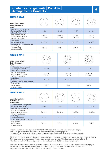# **<sup>5</sup> Contacts arrangements | Polbilder | Arrangements Contacts**

| <b>SERIE 544</b><br>signal transmission<br>Datenübertragung<br>signal                   | $\mathbf{A}_{\Omega}$<br>$c^{\circ}$<br>$\circ_{\mathbf{B}}$ | $E_{\odot}$<br>$^{\circ}$<br>$\mathbf{p}^{\text{O}}$<br>$^{\circ}$ c | $\Omega$<br>в<br>$\Omega$<br>$\circ$<br>$\mathbf{G}_\odot$<br>F<br>c<br>റ്<br>ို့<br>$\circ$ D | $^{\circ}$ E                      |
|-----------------------------------------------------------------------------------------|--------------------------------------------------------------|----------------------------------------------------------------------|------------------------------------------------------------------------------------------------|-----------------------------------|
| shell size/contact arrangement<br>Gehäusegröße/Polbild<br>taille de boîtier/arrangement | $1 - 03$                                                     | $1 - 05$                                                             | $1 - 07$                                                                                       | $2 - 09$                          |
| max. current/contact<br>Max Nennstrom/Kontakt<br>intensité max/contact                  | $3 \times 5$ A<br>$3 \times 10$ A                            | $5 \times 5$ A<br>$5 \times 10$ A                                    | $7 \times 5$ A<br>$7 \times 10$ A                                                              | $9 \times 5 A$<br>$9 \times 10 A$ |
| kontakt type<br>Kontaktanschlussart<br>type de raccordement du contact                  | $S - Z - Y$                                                  | $S - Z - Y$                                                          | $S - Z - Y$                                                                                    | $S - Z - Y$                       |
| rated voltage<br>Nennspannung<br>tension nominale                                       | 1000 V                                                       | 630 V                                                                | 630 V                                                                                          | 630 V                             |

| <b>SERIE 544</b><br>signal transmission<br>Datenübertragung<br>signal  | мо<br>$^{\circ}$ E                  |                                     |                                     |
|------------------------------------------------------------------------|-------------------------------------|-------------------------------------|-------------------------------------|
| shell size/contact arrangement<br>Gehäusegröße/Polbild                 | $2 - 12$                            | $2 - 19$                            | $3 - 27$                            |
| taille de boîtier/arrangement                                          |                                     |                                     |                                     |
| max. current/contact<br>Max Nennstrom/Kontakt<br>intensité max/contact | $12 \times 5$ A<br>$12 \times 10$ A | $19 \times 5$ A<br>$19 \times 10$ A | $27 \times 5$ A<br>$27 \times 10$ A |
| kontakt type<br>Kontaktanschlussart<br>type de raccordement du contact | $S - Z - Y$                         | $S - Z - Y$                         | $S - Z - Y$                         |
| rated voltage<br>Nennspannung<br>tension nominale                      | 630 V                               | 630 V                               | 630 V                               |

## **SERIE 544**

| power transmission<br>Netzstecker<br>alimentation                      | ്റ<br>$\circ$ <sup>B</sup><br>$\mathbf{c}^{\circ}$ | $n_{\rm O}$<br>$\epsilon$<br>්<br>$D^{\circ}$<br>$\circ$ c | $\mathcal{L}$<br>$\bigcirc^{\mathsf{B}}$<br>$\mathbf{c}^{\circ}$ | $\sim$<br>Е.<br>С<br>C<br>$\overline{P}_{\bigcirc}$<br>$\bigcap$ |
|------------------------------------------------------------------------|----------------------------------------------------|------------------------------------------------------------|------------------------------------------------------------------|------------------------------------------------------------------|
| shell size/contact arrangement                                         |                                                    |                                                            |                                                                  |                                                                  |
| Gehäusegröße/Polbild                                                   | $2 - 93$                                           | $2 - 95$                                                   | $2 - 03$                                                         | $2 - 05$                                                         |
| taille de boîtier/arrangement                                          |                                                    |                                                            |                                                                  |                                                                  |
| max. current/contact<br>Max Nennstrom/Kontakt<br>intensité max/contact | $3 \times 15$ A                                    | $5 \times 15$ A                                            | $3 \times 25$ A                                                  | $5 \times 25$ A                                                  |
| kontakt type                                                           |                                                    |                                                            |                                                                  |                                                                  |
| Kontaktanschlussart                                                    | $S - Z$                                            | $S - Z$                                                    | $S - Z$                                                          | $S - Z$                                                          |
| type de raccordement du contact                                        |                                                    |                                                            |                                                                  |                                                                  |
| rated voltage                                                          |                                                    |                                                            |                                                                  |                                                                  |
| Nennspannung                                                           | 1000 V                                             | 1000 V                                                     | 1000 V                                                           | 800 V                                                            |
| tension nominale                                                       |                                                    |                                                            |                                                                  |                                                                  |

 $\sqrt{ }$ 

The max. current/contact is given for 40°C ambient temperature. For other temperature see page 9.

 $\sqrt{ }$ 

Rated voltage for pollution category 1. For other pollution category, see page 10.

The drawings showing male insulators from the mating side and the female insulator from the rear side.

Maximaler Nennstrom pro Kontakte ist bei 40°C gegeben, bei anderen Umgebungstemperaturen siehe Kennlinie Seite 9. Nennspannung ist angegeben bei Verschmutzungsgrad 1, bei anderem Verschmutzungsgrad siehe Seite 10. Abbildungen sind für Stiftisolierkörper vorderseitig und Buchsenisolierkörper rückseitig gegeben.

L'intensité max/contact est donnée pour une température ambiante de 40° C. Pour une autre température voir page 9. La tension max. est donnée pour le degré de pollution 1. Pour un autre degré de pollution voir page 10. Repérage face avant pour l'isolant mâle et face arrière pour l'isolant femelle.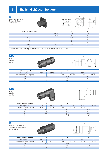

| 18,5                                                                                                      |  |  |  |  |  |  |
|-----------------------------------------------------------------------------------------------------------|--|--|--|--|--|--|
|                                                                                                           |  |  |  |  |  |  |
| $\Gamma$ ivotion corou like / Defection procedure han peab / via de fivotion d'apròse $\Gamma$ N ICO 1907 |  |  |  |  |  |  |

Fixation screw like / Befestigungsschrauben nach / vis de fixation d'après: EN ISO 1207



| type/Typ/type            | <b>MDA</b> | <b>MDB</b> | <b>MDA</b>                     | <b>MDB</b>   | <b>MDA</b> | <b>MDB</b> |
|--------------------------|------------|------------|--------------------------------|--------------|------------|------------|
| cable/Kabel/câble Ø (mm) | $-6$       | -8         | 12<br>$\overline{\phantom{a}}$ | $10 -$<br>14 | a<br>16    | $13 - 18$  |
| ØΑ                       | 24,8       |            |                                | 32,5         |            | 38,8       |
|                          | ∼          |            | 30                             |              | 36,5       |            |
|                          | 58         |            | 64                             |              | 67         |            |

| <b>MC</b><br>plug<br>Stecker<br>mobile |            |            |            |            | ×.         | ۰          |
|----------------------------------------|------------|------------|------------|------------|------------|------------|
| shell/Gehäuse/boîtier                  |            |            |            | റ          |            | 3          |
| type/Typ/type                          | <b>MCA</b> | <b>MCB</b> | <b>MCA</b> | <b>MCB</b> | <b>MCA</b> | <b>MCB</b> |
| cable/Kabel/câble Ø (mm)               | $2 - 6$    | $4 - 8$    | $7 - 12$   | $10 - 14$  | $9 - 16$   | $13 - 18$  |

| capie/Napel/capie & (ITIITI) | - n<br>∼                        | $-5$ | ∣∠<br>$\overline{\phantom{a}}$ | $\overline{14}$<br>' ∪<br>$\sqrt{2}$ | У<br>ΙC<br>$\sim$ | ು<br>- 10    |
|------------------------------|---------------------------------|------|--------------------------------|--------------------------------------|-------------------|--------------|
| ØΑ                           | 24,8                            |      |                                | ں, ےں                                |                   |              |
|                              | $\cap$ $\cap$ $\subset$<br>ن,ت∠ |      |                                | $\cap$ $\cap$<br>ن, ےں               | 4U                |              |
|                              | 45,5                            |      |                                | 59,5                                 | 70 L              | $\cup, \cup$ |
|                              | 64                              |      |                                | '4.t                                 | nn E              |              |

**P**

line mount receptacle Verlängerungssteckdose prolongateur





| shell/Gehäuse/boîtier    |            |            |            |            |            |            |
|--------------------------|------------|------------|------------|------------|------------|------------|
| type/Typ/type            | <b>PDA</b> | <b>PDB</b> | <b>PDA</b> | <b>PDB</b> | <b>PDA</b> | <b>PDB</b> |
| cable/Kabel/câble Ø (mm) | $2 - 6$    | $4 - 8$    | $-12$      | 10 - 14    | $9 - 16$   | $13 - 18$  |
| ØΑ                       | 23,3       |            | 30,6       |            | 36,4       |            |
| ØΒ                       |            |            | 30         |            | 36,5       |            |
|                          | 56         |            | 62         |            | 65         |            |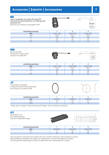| BE<br>cap for receptacles and cable-cable plug IP67<br>Verschluss für Flanschsteckdose und Verlängerungs-<br>steckdose IP67.<br>Bouchon pour embase et prolongateur IP67 |  |  |
|--------------------------------------------------------------------------------------------------------------------------------------------------------------------------|--|--|
|                                                                                                                                                                          |  |  |

| shell/Gehäuse/boîtier |                 |           |           |
|-----------------------|-----------------|-----------|-----------|
| Ref.                  | 5440 1 BE       | 5440 2 BE | 5440 3 BE |
| ØΑ                    | 24,8            | 32,5      | 38,8      |
|                       | 150             | 150       | 150       |
|                       | 45              | 45        | 45        |
| ØΡ                    | $\cup$ , $\cup$ | いい        | U,U       |

| <b>BM</b><br>cap for plug IP67<br>Verschluss für Stecker IP67<br>bouchon de mobile IP67 |           | ØP.       | $\nabla \phi$<br>ØA. |
|-----------------------------------------------------------------------------------------|-----------|-----------|----------------------|
| shell/Gehäuse/boîtier                                                                   |           |           |                      |
| Ref.                                                                                    | 5440 1 BM | 5440 2 BM | 5440 3 BM            |

| shell/Genause/poltier |           |           |           |
|-----------------------|-----------|-----------|-----------|
| Ref.                  | 5440 1 BM | 5440 2 BM | 5440 3 BM |
| ØΑ                    | 23,5      | 30,5      | 36,5      |
|                       | 150       | 150       | 150       |
|                       | 26        | 26        | 26        |
| ØΡ                    | いい        | 3,5       | 3.5       |

| JI<br>O ring seal for receptacle<br>O-Ring Dichtung für Flanschsteckdose<br>joint torique pour embase carrée |         |         | ØΑ      |  |
|--------------------------------------------------------------------------------------------------------------|---------|---------|---------|--|
| shell/Gehäuse/boîtier                                                                                        |         |         |         |  |
| Ref.                                                                                                         | 54401JT | 54402JT | 54403JT |  |
| ØΑ                                                                                                           | 18      | 25      | 31      |  |
| ØΒ                                                                                                           |         | 1,5     | l ,5    |  |

Flange seal on request / Flanschdichtung auf Anfrage / joint d'embase sur demande

| <b>OT</b>                                        |          |
|--------------------------------------------------|----------|
| Insert/extract tool                              |          |
| Ein-Ausbauwerkzeug<br>Outil de montage/démontage | $\delta$ |
|                                                  |          |

| shell/Gehäuse/boîtier |          |          |          |
|-----------------------|----------|----------|----------|
| Ref.                  | 5440OT01 | 5440OT02 | 5440OT03 |
| ▵                     |          | $\cap$   | 28       |
|                       | 50       | 50       | 5C       |

This tool permit to disconnect the insulator from the connector shell and to demounting the contacts. Dieses Werkzeug ermöglicht den Ausbau des Isolierkörpers und die Demontage der Kontakte. Cet outil permet le démontage de l'insert du boîtier ainsi que le démontage des contacts.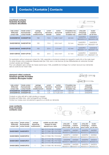## **machined contacts Gedrehte Kontakte contacts décolletés**



| male contact<br>Stiftkontakt<br>contact mâle | female contact<br>Buchsenkotakt<br>contact femelle | package<br>Verpackung<br>conditionnement | current<br>Nennstrom<br>intensité | section<br>Querschnitt<br>section | Ø insulation max.<br>Isolations Ø max.<br>Ø isolation max. | crimp plier<br>Crimpzange<br>pince à sertir | locator<br>Lokators<br>jeu de mors |
|----------------------------------------------|----------------------------------------------------|------------------------------------------|-----------------------------------|-----------------------------------|------------------------------------------------------------|---------------------------------------------|------------------------------------|
| 5440020M100                                  | 5440020F100                                        | 100                                      | 10A                               | $0.25 - 1$ mm <sup>2</sup>        | $2,6$ mm                                                   | 54400P04<br>M22520/2-01                     | 54400S15<br>M22520/2-08            |
| 5440016M100                                  | 5440016F100                                        | 100                                      | 15A                               | $0.6 - 2$ mm <sup>2</sup>         | $3.2 \text{ mm}$                                           | 5440OP01<br>M22520/1-01                     | 54400S16<br>M22520/1-04            |
| 5440012M100                                  | 5440012F100                                        | 100                                      | 25A                               | $2 - 3$ mm <sup>2</sup>           | $4.5$ mm                                                   | 5440OP01<br>M22520/1-01                     | 54400S16<br>M22520/1-04            |
| 5440112M100                                  | 5440112F100                                        | 100                                      | 25A                               | $0.6 - 2$ mm <sup>2</sup>         | $3.7 \text{ mm}$                                           | 5440OP01<br>M22520/1-01                     | 54400S16<br>M22520/1-04            |

For application without advanced contact (for 10A), assemble a shortened contacts (on request) in cavity (A) on the male insert. Für einen Einsatz ohne voreilenden Massekontakt (bei 10A), kann in die Kammer (A) des Stiftisolierteils ein verkürzter Kontakt montiert werden (auf Anfrage).

Pour une utilisation sans contact de masse avancé (pour 10A), possibilité de montage d'un contact raccourci (sur demande) dans la cavité (A) de l'insert mâle.

#### **stamped rolled contacts Gestanzt-gerollte Kontakte contacts découpés-roulés**

 $\overline{\mathbb{T}}$ 



| male contact<br>Stiftkontakt<br>contact mâle | female contact<br>Buchsenkotakt<br>contact femelle | package<br>Verpackung<br>conditionnement | current<br>Nennstrom<br>intensité | section<br>Querschnitt<br>section | Ø insulation max.<br>Isolations Ø max.<br>Ø isolation max. | crimp plier<br>Crimpzange<br>pince à sertir |
|----------------------------------------------|----------------------------------------------------|------------------------------------------|-----------------------------------|-----------------------------------|------------------------------------------------------------|---------------------------------------------|
| 5440220M100                                  | 5440220F100                                        | 100                                      | 5 A                               | $0.25 - 0.6$ mm <sup>2</sup>      | $1.52$ mm                                                  | 54400P05                                    |
| 5440320M100                                  | 5440320F100                                        | 100                                      | 5 A                               | $0.1 - 0.25$ mm <sup>2</sup>      | 1.02 mm                                                    | 54400P05                                    |

Contacts on strip with left or right winding on request.

Kontakte auf Rollen links- oder rechtsgerollt auf Anfrage.

Contact sur rouleau avec enroulement à gauche ou à droite sur demande.

#### **coax contacts Koax Kontakte contacts coax**



| female contact<br>male contact<br>package |                                         | suitable use with cable       |                                                                                                    | А                                           |                                     |                                             |                                    |
|-------------------------------------------|-----------------------------------------|-------------------------------|----------------------------------------------------------------------------------------------------|---------------------------------------------|-------------------------------------|---------------------------------------------|------------------------------------|
| Stiftkontakt<br>contact mâle              | <b>Buchsenkotakt</b><br>contact femelle | Verpackung<br>conditionnement | Geeignet für Kabel<br>approprié pour cable:                                                        | crimp plier<br>Crimpzange<br>pince à sertir | locator<br>Lokators<br>jeu de mors  | crimp plier<br>Crimpzange<br>pince à sertir | locator<br>Lokators<br>jeu de mors |
| 5440016MC1                                | 5440016FC1                              |                               | MIL-C17/119 RG 174 50 $\Omega$<br>MIL-C17/094 RG 179 75 $\Omega$<br>MIL-C17/113 RG 316 50 $\Omega$ | 54400P10<br>M22520/4-01 M22520/4-02         | 5440S21                             | 54400P04                                    | 5440S22<br>M22520/2-01 M22520/2-35 |
| 5440016MC2                                | 5440016FC2                              |                               | MIL-C17/093 RG 178 50 Ω                                                                            | 54400P10                                    | 5440S21<br>M22520/4-01 M22520/4-02  | 54400P04<br>M22520/2-01 M22520/2-35         | 5440S22                            |
| 5440012MC1                                | 5440012FC1                              |                               | MIL-C17/119 RG 174 50 $\Omega$<br>MIL-C17/094 RG 179 75 Ω<br>MIL-C17/113 RG 316 50 $\Omega$        | 54400P08                                    | 5440S20<br>M22520/31-01M22520/31-02 | 54400P04<br>M22520/2-01                     | 5440S19<br>M22520/2-34             |
|                                           | 5440012MC2 5440012FC2                   |                               | MIL-C17/095 RG 180 95 Ω                                                                            | 54400P08                                    | 5440S20<br>M22520/31-01M22520/31-02 | 54400P04<br>M22520/2-01                     | 5440S19<br>M22520/2-34             |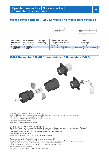## **Fiber optical contacts / LWL Kontakte / Contacts fibre optique :**





| male contact<br><b>Stiftkontakt</b> | female contact<br>Buchsenkotakt | package<br>Verpackung | suitable for glass fiber:<br>Geeignet für Glasfaser: | tooling<br>Werkzeuge                   |
|-------------------------------------|---------------------------------|-----------------------|------------------------------------------------------|----------------------------------------|
| Contact mâle                        | Contact femelle                 | conditionnement       | Approprié pour fibre de verre :                      | outillage                              |
| 5440012ML1                          | 5440012FL1                      |                       | Multimode 50-62,5/125 um                             | On request / auf Anfrage / sur demande |
| 5440012ML2                          | 5440012FL2                      |                       | Monomode 9/125 µm                                    | On request / auf Anfrage / sur demande |

## **RJ45 Connector / RJ45 Steckverbinder / Connecteur RJ45:**



RJ45 Connection system (more details on request):

With the Rjstop system you can use a standart RJ45 cordset (no cabling operation, no tools required).

- for harsh environment, IP protection up to IP67.

- receptacle available with a female RJ45 or a RJ45 cordset.
- available in metallized version.
- for Industrial and Telecom applications.

RJ 45 Stecksystem (weitere Angaben auf Anfrage):

Durch den Rjstop System wird ein Standard RJ45 Anschlusskabel verwendet (ohne Verkabelung, ohne Werkzeug).

- für Anwendungen unter Rauhen Bedingungen, IP Schutzart bis IP 67.
- Steckdose vorhanden mit RJ45 Buchsenstecker oder RJ45 Anschlusskabel.
- Metallisierte Version vorhanden.
- geeignet für Anwendungen im Industrie- und Telekombereich.

Raccordement RJ45 (informations complémentaires sur demande):

- Le système Rjstop permet l'utilisation de connecteur RJ45 standard cablé (pas de cablâge, pas d'outillage).
- pour application en environnement sévère, indice de protection jusqu'à IP 67.
- l'embase est disponible avec une sortie RJ 45 femelle ou un cordon RJ45.
- possibilité de version métallisée.
- approprié pour des applications industrielle et télécom.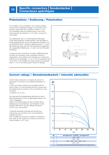# **Polarizations / Kodierung / Polarisation**

The insulation can be installed in one of three positions. This permits 3 polarization settings. On the back of the socket or plug, there are 3 positions marked 1, 2 & 3. For polarization place the projecting tab or slot of the insert opposite the selected 1, 2 or 3 ident and push in until locked.

Der Isolierkörper kann in 3 verschiedenen Stellungen in den Steckverbinder montiert werden. Dies ermöglicht 3 Kodierungspositionen. Auf der Rückseite des Steckers und der Steckdose sind 3 Positionen gekennzeichnet 1, 2 und 3. Bei Kodierung, Steg oder Nut des Isolierkörpers gegenüber der ausgewählter Markierung 1, 2 oder 3 bis zum Einrasten eindrücken.

L'insert peut être monté dans 3 positions différentes dans le boîtier du connecteur et par conséquent permet 3 polarisations. Ces positions sont indiquées sur l'arrière des boîtiers par les marquages 1, 2 ou 3. Pour la polarisation placer le tenon ou la mortaise de l'insert en face du marquage retenu 1, 2 ou 3 et insérer jusqu'à obtenir le clipsage.



# **Current ratings / Strombelastbarkeit / intensité admissible:**

Current rating maximums in amperes are shown for each type of connector at an ambient temperature of  $+40^{\circ}$ C.

In that case where contacts are not loaded with the same current, it is recommended that the contacts with the highest load are located on the circumference of the connector

( contacts A, B, C etc ).

Die maximale Strombelastbarkeit (Nennstrom) ist bei allen Steckertypen für eine Umgebungstemperatur von +40°C angegeben.

Sollten nicht alle Kontakte mit dem höchsten Strom belastet sein, wird empfohlen, die Kontakte mit dem höchsten Nennstrom auf den äußeren Kammern ( A-B-C usw. ) anzuordnen.

L'intensité admissible maximale est donnée pour chaque type de connecteur pour une température ambiante de 40°C.

Il est conseillé de raccorder les câbles à l'intensité la plus haute sur les cavités du connecteur les plus proches du boîtier ( A, B, C etc ).

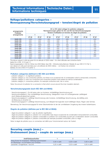## **Voltage/pollutions categories – Nennspannung/Verschmutzungsgrad – tension/degré de pollution**

| arrangements<br>Polbilder | AC or DC rated voltage for pollution categorie:<br>Nennspannungen gelten für AC und DC bei Verschmutzungsgrad:<br>Tension d'utilisation en fonction du degré de pollution: |        |       |       |       |       |                          |       |  |
|---------------------------|----------------------------------------------------------------------------------------------------------------------------------------------------------------------------|--------|-------|-------|-------|-------|--------------------------|-------|--|
| arrangements              |                                                                                                                                                                            | 2<br>3 |       |       | 4     |       |                          |       |  |
|                           | IP 30                                                                                                                                                                      | IP 67  | IP 30 | IP 67 | IP 30 | IP 67 | IP 30                    | IP 67 |  |
| 5440-103                  | 1000                                                                                                                                                                       | 1000   | 320   | 1000  | 200   | 320   |                          | 200   |  |
| 5440-105                  | 630                                                                                                                                                                        | 630    | 200   | 630   | 63    | 200   |                          | 63    |  |
| 5440-107                  | 630                                                                                                                                                                        | 630    | 160   | 630   | 32    | 160   |                          | 32    |  |
| 5440-203                  | 1000                                                                                                                                                                       | 1000   | 500   | 1000  | 320   | 500   | $\overline{\phantom{a}}$ | 320   |  |
| 5440-205                  | 800                                                                                                                                                                        | 800    | 250   | 800   | 160   | 250   |                          | 160   |  |
| 5440-209                  | 630                                                                                                                                                                        | 630    | 200   | 630   | 125   | 200   |                          | 125   |  |
| 5440-212                  | 630                                                                                                                                                                        | 630    | 200   | 630   | 100   | 200   |                          | 100   |  |
| 5440-219                  | 630                                                                                                                                                                        | 630    | 160   | 630   | 40    | 160   | $\overline{\phantom{a}}$ | 40    |  |
| 5440-293                  | 1000                                                                                                                                                                       | 1000   | 630   | 1000  | 400   | 630   |                          | 400   |  |
| 5440-295                  | 1000                                                                                                                                                                       | 1000   | 320   | 1000  | 200   | 320   |                          | 200   |  |
| 5440-327                  | 630                                                                                                                                                                        | 630    | 200   | 630   | 100   | 200   | $\overline{\phantom{0}}$ |       |  |

The above values in volts are given for an altitude of 2000 meter – for other altitudes see corrective factor (table 2b in VDE 0110 part 1).

Spannungsangabe in Volt für Höhen bis 2000 Meter über NN - Höhenkorrekturfaktoren (Tabelle 2b aus VDE 0110 Teil 1). Les valeurs en volts sont données pour une altitude de 2000 mètres – voir facteur de correction

(tableau 2b de la VDE 0110 partie 1).

## **Pollution categories (defined in IEC 664 and 664A):**

- pollution category 1: no significant pollution.
- pollution category 2: non-conductive pollution, but there is an occasional risk of condensation which is temporarily conductive.
- pollution category 3: both non-conductive and conductive pollution dust present as well as condensation.
- pollution category 4: conductive pollution, for example conductive dust, rain or snow.

Note: the amount of pollution for a connector is that which occurs around the inner insulation element.

## **Verschmutzungsgrade (nach IEC 664 und 664A):**

- Verschmutzungsgrad 1: Es tritt keine oder nur trockene, nichtleitfähige Verschmutzung auf.
- Verschmutzungsgrad 2: Nur nichtleitfähige Verschmutzung. Gelegentlich muss mit vorübergehender Leitfähigkeit durch Betauung gerechnet werden.
- Verschmutzungsgrad 3: Leitfähige Verschmutzung oder trockene, nichtleitfähige Verschmutzung, die leitfähig wird, da Betauung zu erwarten ist.
- Verschmutzungsgrad 4: Leitfähige Verschmutzung, zum Beispiel hervorgerufen durch leitfähigen Staub, Regen oder Schnee.

Bemerkung: Der Verschmutzungsgrad für einen Steckverbinder ist der der unmittelbaren Umgebung des inneren Isolierkörpers.

## **Degrés de pollution (définies par la IEC 664 et 664A):**

- degré de pollution catégorie 1: pas de pollution significative.
- degré de pollution catégorie 2: pollution non conductible mais risque occasionnel de condensation temporairement conductible.
- degré de pollution catégorie 3: pollution conductible ou pollution non conductible pouvant par condensation devenir conductible.
- degré de pollution catégorie 4: pollution conductible par exemple poussière conductible, pluie ou neige.

Nota: le degré de pollution pour un connecteur est défini pour l'environnement autour de l'isolant.

## **Securing couple (max.) – Drehmoment (max.) – couple de serrage (max.)**

| shell/Gehäuse/boîtier                               |              |              |              |  |
|-----------------------------------------------------|--------------|--------------|--------------|--|
| fixing Screw for receptacle / Befestigungsschrauben | $0.08$ m.daN | $0.08$ m.daN | $0.08$ m.daN |  |
| für Steckdose / vis de fixation pour embase         |              |              |              |  |
| backshell / Endgehäuse / raccord                    | 0.20 m.daN   | 0.30 m.daN   | 0.50 m.daN   |  |